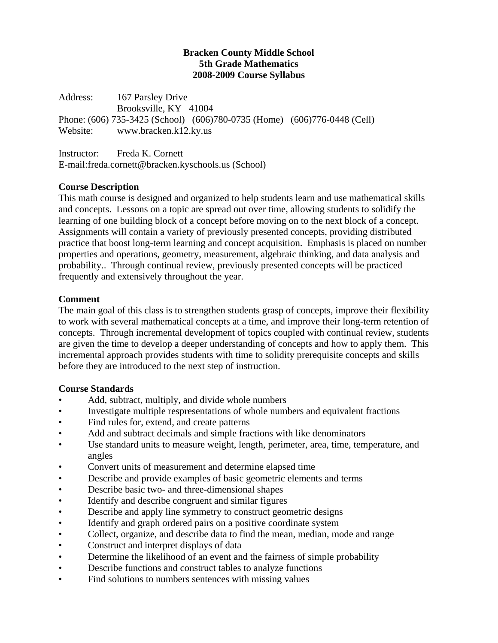#### **Bracken County Middle School 5th Grade Mathematics 2008-2009 Course Syllabus**

Address: 167 Parsley Drive Brooksville, KY 41004 Phone: (606) 735-3425 (School) (606)780-0735 (Home) (606)776-0448 (Cell) Website: www.bracken.k12.ky.us

Instructor: Freda K. Cornett E-mail:freda.cornett@bracken.kyschools.us (School)

# **Course Description**

This math course is designed and organized to help students learn and use mathematical skills and concepts. Lessons on a topic are spread out over time, allowing students to solidify the learning of one building block of a concept before moving on to the next block of a concept. Assignments will contain a variety of previously presented concepts, providing distributed practice that boost long-term learning and concept acquisition. Emphasis is placed on number properties and operations, geometry, measurement, algebraic thinking, and data analysis and probability.. Through continual review, previously presented concepts will be practiced frequently and extensively throughout the year.

## **Comment**

The main goal of this class is to strengthen students grasp of concepts, improve their flexibility to work with several mathematical concepts at a time, and improve their long-term retention of concepts. Through incremental development of topics coupled with continual review, students are given the time to develop a deeper understanding of concepts and how to apply them. This incremental approach provides students with time to solidity prerequisite concepts and skills before they are introduced to the next step of instruction.

## **Course Standards**

- Add, subtract, multiply, and divide whole numbers
- Investigate multiple respresentations of whole numbers and equivalent fractions
- Find rules for, extend, and create patterns
- Add and subtract decimals and simple fractions with like denominators
- Use standard units to measure weight, length, perimeter, area, time, temperature, and angles
- Convert units of measurement and determine elapsed time
- Describe and provide examples of basic geometric elements and terms
- Describe basic two- and three-dimensional shapes
- Identify and describe congruent and similar figures
- Describe and apply line symmetry to construct geometric designs
- Identify and graph ordered pairs on a positive coordinate system
- Collect, organize, and describe data to find the mean, median, mode and range
- Construct and interpret displays of data
- Determine the likelihood of an event and the fairness of simple probability
- Describe functions and construct tables to analyze functions
- Find solutions to numbers sentences with missing values